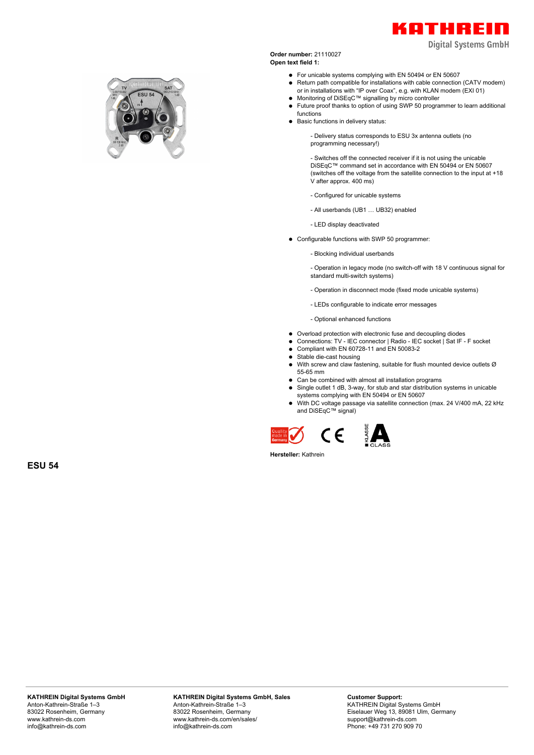

**Digital Systems GmbH** 

**Order number:** 21110027 **Open text field 1:**

- For unicable systems complying with EN 50494 or EN 50607
- Return path compatible for installations with cable connection (CATV modem) or in installations with "IP over Coax", e.g. with KLAN modem (EXI 01)
- Monitoring of DiSEqC™ signalling by micro controller
- Future proof thanks to option of using SWP 50 programmer to learn additional functions
- Basic functions in delivery status:

- Delivery status corresponds to ESU 3x antenna outlets (no programming necessary!)

- Switches off the connected receiver if it is not using the unicable DiSEqC™ command set in accordance with EN 50494 or EN 50607 (switches off the voltage from the satellite connection to the input at +18 V after approx. 400 ms)

- Configured for unicable systems
- All userbands (UB1 … UB32) enabled
- LED display deactivated
- Configurable functions with SWP 50 programmer:
	- Blocking individual userbands

- Operation in legacy mode (no switch-off with 18 V continuous signal for standard multi-switch systems)

- Operation in disconnect mode (fixed mode unicable systems)
- LEDs configurable to indicate error messages

- Optional enhanced functions

- Overload protection with electronic fuse and decoupling diodes
- Connections: TV IEC connector | Radio IEC socket | Sat IF F socket
- $\bullet$ Compliant with EN 60728-11 and EN 50083-2
- Stable die-cast housing  $\bullet$
- $\bullet$ With screw and claw fastening, suitable for flush mounted device outlets Ø 55-65 mm
- Can be combined with almost all installation programs
- Single outlet 1 dB, 3-way, for stub and star distribution systems in unicable systems complying with EN 50494 or EN 50607
- With DC voltage passage via satellite connection (max. 24 V/400 mA, 22 kHz and DiSEqC™ signal)





**ESU 54**

**KATHREIN Digital Systems GmbH, Sales** Anton-Kathrein-Straße 1–3 83022 Rosenheim, Germany www.kathrein-ds.com/en/sales/ info@kathrein-ds.com

**Customer Support:** KATHREIN Digital Systems GmbH Eiselauer Weg 13, 89081 Ulm, Germany support@kathrein-ds.com Phone: +49 731 270 909 70